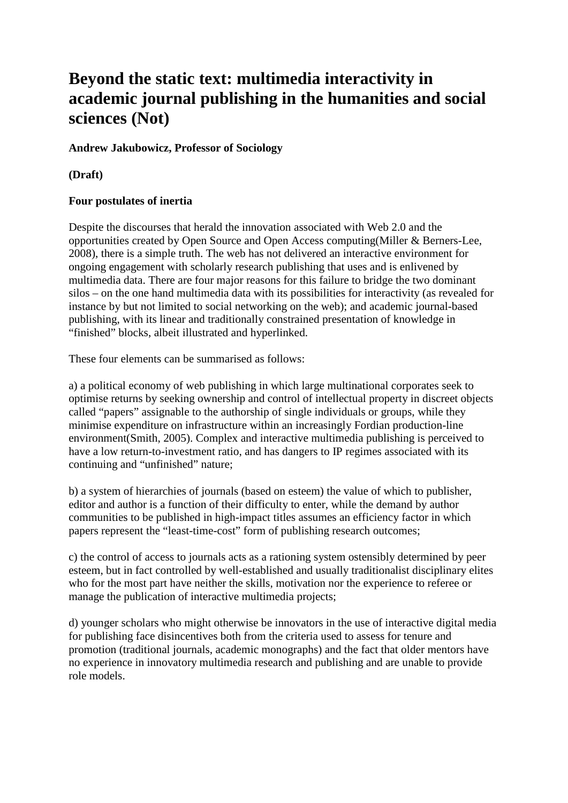# **Beyond the static text: multimedia interactivity in academic journal publishing in the humanities and social sciences (Not)**

## **Andrew Jakubowicz, Professor of Sociology**

# **(Draft)**

## **Four postulates of inertia**

Despite the discourses that herald the innovation associated with Web 2.0 and the opportunities created by Open Source and Open Access computing(Miller & Berners-Lee, 2008), there is a simple truth. The web has not delivered an interactive environment for ongoing engagement with scholarly research publishing that uses and is enlivened by multimedia data. There are four major reasons for this failure to bridge the two dominant silos – on the one hand multimedia data with its possibilities for interactivity (as revealed for instance by but not limited to social networking on the web); and academic journal-based publishing, with its linear and traditionally constrained presentation of knowledge in "finished" blocks, albeit illustrated and hyperlinked.

These four elements can be summarised as follows:

a) a political economy of web publishing in which large multinational corporates seek to optimise returns by seeking ownership and control of intellectual property in discreet objects called "papers" assignable to the authorship of single individuals or groups, while they minimise expenditure on infrastructure within an increasingly Fordian production-line environment(Smith, 2005). Complex and interactive multimedia publishing is perceived to have a low return-to-investment ratio, and has dangers to IP regimes associated with its continuing and "unfinished" nature;

b) a system of hierarchies of journals (based on esteem) the value of which to publisher, editor and author is a function of their difficulty to enter, while the demand by author communities to be published in high-impact titles assumes an efficiency factor in which papers represent the "least-time-cost" form of publishing research outcomes;

c) the control of access to journals acts as a rationing system ostensibly determined by peer esteem, but in fact controlled by well-established and usually traditionalist disciplinary elites who for the most part have neither the skills, motivation nor the experience to referee or manage the publication of interactive multimedia projects;

d) younger scholars who might otherwise be innovators in the use of interactive digital media for publishing face disincentives both from the criteria used to assess for tenure and promotion (traditional journals, academic monographs) and the fact that older mentors have no experience in innovatory multimedia research and publishing and are unable to provide role models.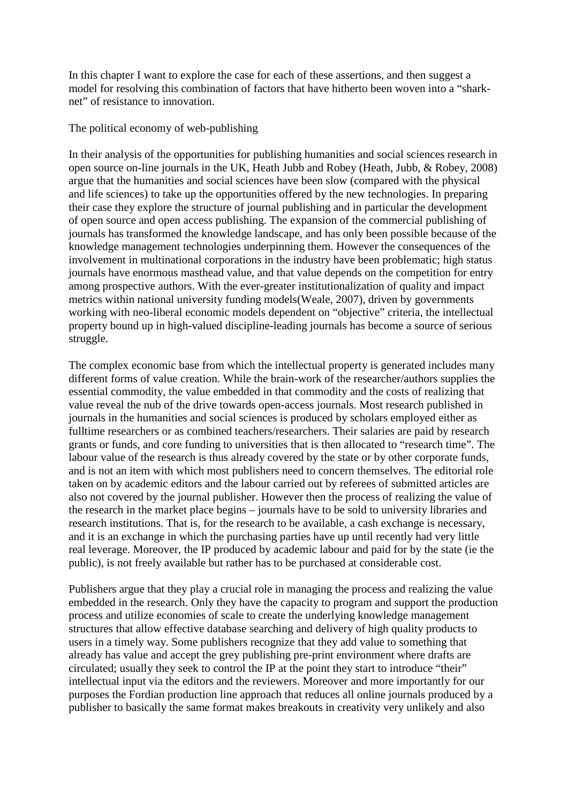In this chapter I want to explore the case for each of these assertions, and then suggest a model for resolving this combination of factors that have hitherto been woven into a "sharknet" of resistance to innovation.

The political economy of web-publishing

In their analysis of the opportunities for publishing humanities and social sciences research in open source on-line journals in the UK, Heath Jubb and Robey (Heath, Jubb, & Robey, 2008) argue that the humanities and social sciences have been slow (compared with the physical and life sciences) to take up the opportunities offered by the new technologies. In preparing their case they explore the structure of journal publishing and in particular the development of open source and open access publishing. The expansion of the commercial publishing of journals has transformed the knowledge landscape, and has only been possible because of the knowledge management technologies underpinning them. However the consequences of the involvement in multinational corporations in the industry have been problematic; high status journals have enormous masthead value, and that value depends on the competition for entry among prospective authors. With the ever-greater institutionalization of quality and impact metrics within national university funding models(Weale, 2007), driven by governments working with neo-liberal economic models dependent on "objective" criteria, the intellectual property bound up in high-valued discipline-leading journals has become a source of serious struggle.

The complex economic base from which the intellectual property is generated includes many different forms of value creation. While the brain-work of the researcher/authors supplies the essential commodity, the value embedded in that commodity and the costs of realizing that value reveal the nub of the drive towards open-access journals. Most research published in journals in the humanities and social sciences is produced by scholars employed either as fulltime researchers or as combined teachers/researchers. Their salaries are paid by research grants or funds, and core funding to universities that is then allocated to "research time". The labour value of the research is thus already covered by the state or by other corporate funds, and is not an item with which most publishers need to concern themselves. The editorial role taken on by academic editors and the labour carried out by referees of submitted articles are also not covered by the journal publisher. However then the process of realizing the value of the research in the market place begins – journals have to be sold to university libraries and research institutions. That is, for the research to be available, a cash exchange is necessary, and it is an exchange in which the purchasing parties have up until recently had very little real leverage. Moreover, the IP produced by academic labour and paid for by the state (ie the public), is not freely available but rather has to be purchased at considerable cost.

Publishers argue that they play a crucial role in managing the process and realizing the value embedded in the research. Only they have the capacity to program and support the production process and utilize economies of scale to create the underlying knowledge management structures that allow effective database searching and delivery of high quality products to users in a timely way. Some publishers recognize that they add value to something that already has value and accept the grey publishing pre-print environment where drafts are circulated; usually they seek to control the IP at the point they start to introduce "their" intellectual input via the editors and the reviewers. Moreover and more importantly for our purposes the Fordian production line approach that reduces all online journals produced by a publisher to basically the same format makes breakouts in creativity very unlikely and also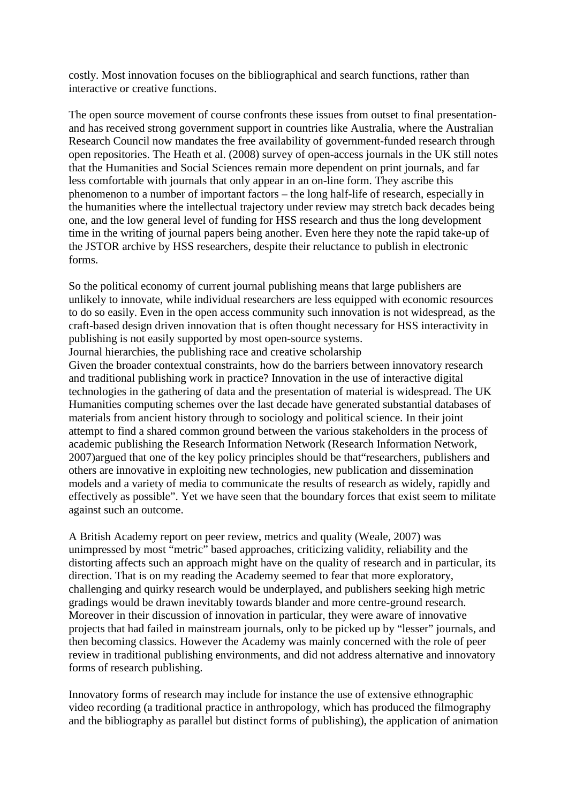costly. Most innovation focuses on the bibliographical and search functions, rather than interactive or creative functions.

The open source movement of course confronts these issues from outset to final presentationand has received strong government support in countries like Australia, where the Australian Research Council now mandates the free availability of government-funded research through open repositories. The Heath et al. (2008) survey of open-access journals in the UK still notes that the Humanities and Social Sciences remain more dependent on print journals, and far less comfortable with journals that only appear in an on-line form. They ascribe this phenomenon to a number of important factors – the long half-life of research, especially in the humanities where the intellectual trajectory under review may stretch back decades being one, and the low general level of funding for HSS research and thus the long development time in the writing of journal papers being another. Even here they note the rapid take-up of the JSTOR archive by HSS researchers, despite their reluctance to publish in electronic forms.

So the political economy of current journal publishing means that large publishers are unlikely to innovate, while individual researchers are less equipped with economic resources to do so easily. Even in the open access community such innovation is not widespread, as the craft-based design driven innovation that is often thought necessary for HSS interactivity in publishing is not easily supported by most open-source systems. Journal hierarchies, the publishing race and creative scholarship Given the broader contextual constraints, how do the barriers between innovatory research and traditional publishing work in practice? Innovation in the use of interactive digital technologies in the gathering of data and the presentation of material is widespread. The UK Humanities computing schemes over the last decade have generated substantial databases of materials from ancient history through to sociology and political science. In their joint attempt to find a shared common ground between the various stakeholders in the process of academic publishing the Research Information Network (Research Information Network, 2007)argued that one of the key policy principles should be that"researchers, publishers and others are innovative in exploiting new technologies, new publication and dissemination models and a variety of media to communicate the results of research as widely, rapidly and effectively as possible". Yet we have seen that the boundary forces that exist seem to militate against such an outcome.

A British Academy report on peer review, metrics and quality (Weale, 2007) was unimpressed by most "metric" based approaches, criticizing validity, reliability and the distorting affects such an approach might have on the quality of research and in particular, its direction. That is on my reading the Academy seemed to fear that more exploratory, challenging and quirky research would be underplayed, and publishers seeking high metric gradings would be drawn inevitably towards blander and more centre-ground research. Moreover in their discussion of innovation in particular, they were aware of innovative projects that had failed in mainstream journals, only to be picked up by "lesser" journals, and then becoming classics. However the Academy was mainly concerned with the role of peer review in traditional publishing environments, and did not address alternative and innovatory forms of research publishing.

Innovatory forms of research may include for instance the use of extensive ethnographic video recording (a traditional practice in anthropology, which has produced the filmography and the bibliography as parallel but distinct forms of publishing), the application of animation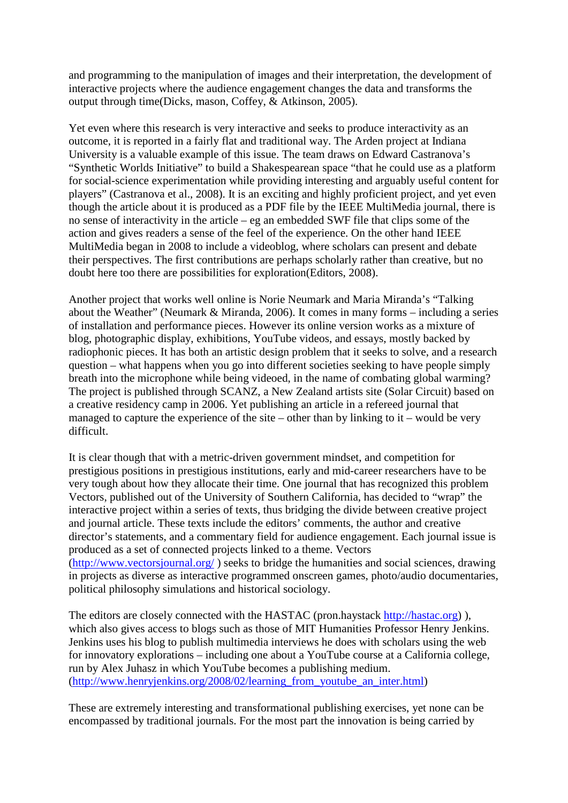and programming to the manipulation of images and their interpretation, the development of interactive projects where the audience engagement changes the data and transforms the output through time(Dicks, mason, Coffey, & Atkinson, 2005).

Yet even where this research is very interactive and seeks to produce interactivity as an outcome, it is reported in a fairly flat and traditional way. The Arden project at Indiana University is a valuable example of this issue. The team draws on Edward Castranova's "Synthetic Worlds Initiative" to build a Shakespearean space "that he could use as a platform for social-science experimentation while providing interesting and arguably useful content for players" (Castranova et al., 2008). It is an exciting and highly proficient project, and yet even though the article about it is produced as a PDF file by the IEEE MultiMedia journal, there is no sense of interactivity in the article – eg an embedded SWF file that clips some of the action and gives readers a sense of the feel of the experience. On the other hand IEEE MultiMedia began in 2008 to include a videoblog, where scholars can present and debate their perspectives. The first contributions are perhaps scholarly rather than creative, but no doubt here too there are possibilities for exploration(Editors, 2008).

Another project that works well online is Norie Neumark and Maria Miranda's "Talking about the Weather" (Neumark & Miranda, 2006). It comes in many forms – including a series of installation and performance pieces. However its online version works as a mixture of blog, photographic display, exhibitions, YouTube videos, and essays, mostly backed by radiophonic pieces. It has both an artistic design problem that it seeks to solve, and a research question – what happens when you go into different societies seeking to have people simply breath into the microphone while being videoed, in the name of combating global warming? The project is published through SCANZ, a New Zealand artists site (Solar Circuit) based on a creative residency camp in 2006. Yet publishing an article in a refereed journal that managed to capture the experience of the site – other than by linking to it – would be very difficult.

It is clear though that with a metric-driven government mindset, and competition for prestigious positions in prestigious institutions, early and mid-career researchers have to be very tough about how they allocate their time. One journal that has recognized this problem Vectors, published out of the University of Southern California, has decided to "wrap" the interactive project within a series of texts, thus bridging the divide between creative project and journal article. These texts include the editors' comments, the author and creative director's statements, and a commentary field for audience engagement. Each journal issue is produced as a set of connected projects linked to a theme. Vectors [\(http://www.vectorsjournal.org/](http://www.vectorsjournal.org/) ) seeks to bridge the humanities and social sciences, drawing in projects as diverse as interactive programmed onscreen games, photo/audio documentaries, political philosophy simulations and historical sociology.

The editors are closely connected with the HASTAC (pron.haystack [http://hastac.org\)](http://hastac.org/) ), which also gives access to blogs such as those of MIT Humanities Professor Henry Jenkins. Jenkins uses his blog to publish multimedia interviews he does with scholars using the web for innovatory explorations – including one about a YouTube course at a California college, run by Alex Juhasz in which YouTube becomes a publishing medium. [\(http://www.henryjenkins.org/2008/02/learning\\_from\\_youtube\\_an\\_inter.html\)](http://www.henryjenkins.org/2008/02/learning_from_youtube_an_inter.html)

These are extremely interesting and transformational publishing exercises, yet none can be encompassed by traditional journals. For the most part the innovation is being carried by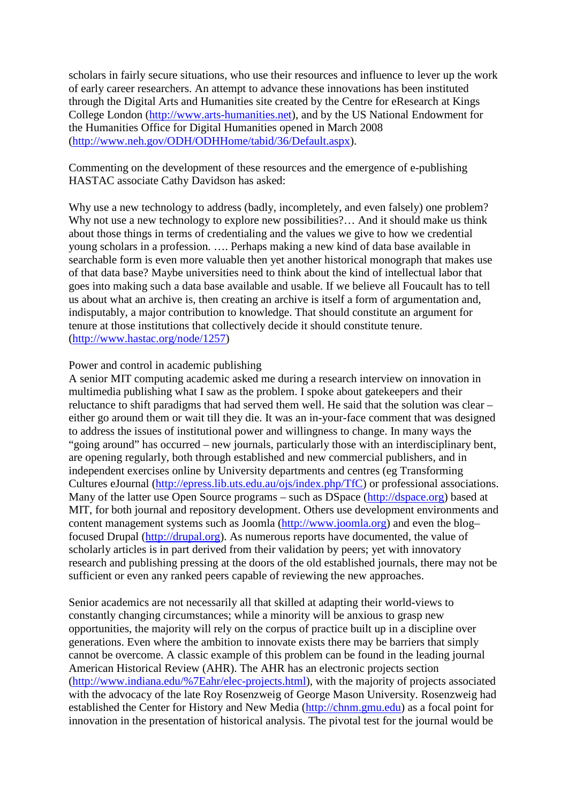scholars in fairly secure situations, who use their resources and influence to lever up the work of early career researchers. An attempt to advance these innovations has been instituted through the Digital Arts and Humanities site created by the Centre for eResearch at Kings College London [\(http://www.arts-humanities.net\)](http://www.arts-humanities.net/), and by the US National Endowment for the Humanities Office for Digital Humanities opened in March 2008 [\(http://www.neh.gov/ODH/ODHHome/tabid/36/Default.aspx\)](http://www.neh.gov/ODH/ODHHome/tabid/36/Default.aspx).

Commenting on the development of these resources and the emergence of e-publishing HASTAC associate Cathy Davidson has asked:

Why use a new technology to address (badly, incompletely, and even falsely) one problem? Why not use a new technology to explore new possibilities?... And it should make us think about those things in terms of credentialing and the values we give to how we credential young scholars in a profession. …. Perhaps making a new kind of data base available in searchable form is even more valuable then yet another historical monograph that makes use of that data base? Maybe universities need to think about the kind of intellectual labor that goes into making such a data base available and usable. If we believe all Foucault has to tell us about what an archive is, then creating an archive is itself a form of argumentation and, indisputably, a major contribution to knowledge. That should constitute an argument for tenure at those institutions that collectively decide it should constitute tenure. [\(http://www.hastac.org/node/1257\)](http://www.hastac.org/node/1257)

### Power and control in academic publishing

A senior MIT computing academic asked me during a research interview on innovation in multimedia publishing what I saw as the problem. I spoke about gatekeepers and their reluctance to shift paradigms that had served them well. He said that the solution was clear – either go around them or wait till they die. It was an in-your-face comment that was designed to address the issues of institutional power and willingness to change. In many ways the "going around" has occurred – new journals, particularly those with an interdisciplinary bent, are opening regularly, both through established and new commercial publishers, and in independent exercises online by University departments and centres (eg Transforming Cultures eJournal [\(http://epress.lib.uts.edu.au/ojs/index.php/TfC\)](http://epress.lib.uts.edu.au/ojs/index.php/TfC) or professional associations. Many of the latter use Open Source programs – such as DSpace [\(http://dspace.org\)](http://dspace.org/) based at MIT, for both journal and repository development. Others use development environments and content management systems such as Joomla [\(http://www.joomla.org\)](http://www.joomla.org/) and even the blog– focused Drupal [\(http://drupal.org\)](http://drupal.org/). As numerous reports have documented, the value of scholarly articles is in part derived from their validation by peers; yet with innovatory research and publishing pressing at the doors of the old established journals, there may not be sufficient or even any ranked peers capable of reviewing the new approaches.

Senior academics are not necessarily all that skilled at adapting their world-views to constantly changing circumstances; while a minority will be anxious to grasp new opportunities, the majority will rely on the corpus of practice built up in a discipline over generations. Even where the ambition to innovate exists there may be barriers that simply cannot be overcome. A classic example of this problem can be found in the leading journal American Historical Review (AHR). The AHR has an electronic projects section [\(http://www.indiana.edu/%7Eahr/elec-projects.html\)](http://www.indiana.edu/~ahr/elec-projects.html), with the majority of projects associated with the advocacy of the late Roy Rosenzweig of George Mason University. Rosenzweig had established the Center for History and New Media [\(http://chnm.gmu.edu\)](http://chnm.gmu.edu/) as a focal point for innovation in the presentation of historical analysis. The pivotal test for the journal would be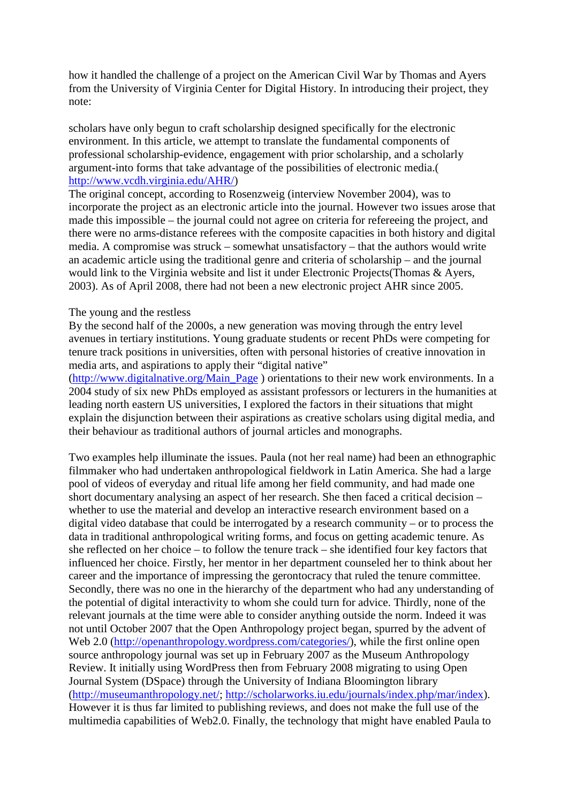how it handled the challenge of a project on the American Civil War by Thomas and Ayers from the University of Virginia Center for Digital History. In introducing their project, they note:

scholars have only begun to craft scholarship designed specifically for the electronic environment. In this article, we attempt to translate the fundamental components of professional scholarship-evidence, engagement with prior scholarship, and a scholarly argument-into forms that take advantage of the possibilities of electronic media.( [http://www.vcdh.virginia.edu/AHR/\)](http://www.vcdh.virginia.edu/AHR/)

The original concept, according to Rosenzweig (interview November 2004), was to incorporate the project as an electronic article into the journal. However two issues arose that made this impossible – the journal could not agree on criteria for refereeing the project, and there were no arms-distance referees with the composite capacities in both history and digital media. A compromise was struck – somewhat unsatisfactory – that the authors would write an academic article using the traditional genre and criteria of scholarship – and the journal would link to the Virginia website and list it under Electronic Projects(Thomas & Ayers, 2003). As of April 2008, there had not been a new electronic project AHR since 2005.

#### The young and the restless

By the second half of the 2000s, a new generation was moving through the entry level avenues in tertiary institutions. Young graduate students or recent PhDs were competing for tenure track positions in universities, often with personal histories of creative innovation in media arts, and aspirations to apply their "digital native"

(http://www.digitalnative.org/Main Page) orientations to their new work environments. In a 2004 study of six new PhDs employed as assistant professors or lecturers in the humanities at leading north eastern US universities, I explored the factors in their situations that might explain the disjunction between their aspirations as creative scholars using digital media, and their behaviour as traditional authors of journal articles and monographs.

Two examples help illuminate the issues. Paula (not her real name) had been an ethnographic filmmaker who had undertaken anthropological fieldwork in Latin America. She had a large pool of videos of everyday and ritual life among her field community, and had made one short documentary analysing an aspect of her research. She then faced a critical decision – whether to use the material and develop an interactive research environment based on a digital video database that could be interrogated by a research community – or to process the data in traditional anthropological writing forms, and focus on getting academic tenure. As she reflected on her choice – to follow the tenure track – she identified four key factors that influenced her choice. Firstly, her mentor in her department counseled her to think about her career and the importance of impressing the gerontocracy that ruled the tenure committee. Secondly, there was no one in the hierarchy of the department who had any understanding of the potential of digital interactivity to whom she could turn for advice. Thirdly, none of the relevant journals at the time were able to consider anything outside the norm. Indeed it was not until October 2007 that the Open Anthropology project began, spurred by the advent of Web 2.0 [\(http://openanthropology.wordpress.com/categories/\)](http://openanthropology.wordpress.com/categories/), while the first online open source anthropology journal was set up in February 2007 as the Museum Anthropology Review. It initially using WordPress then from February 2008 migrating to using Open Journal System (DSpace) through the University of Indiana Bloomington library [\(http://museumanthropology.net/;](http://museumanthropology.net/) [http://scholarworks.iu.edu/journals/index.php/mar/index\)](http://scholarworks.iu.edu/journals/index.php/mar/index). However it is thus far limited to publishing reviews, and does not make the full use of the multimedia capabilities of Web2.0. Finally, the technology that might have enabled Paula to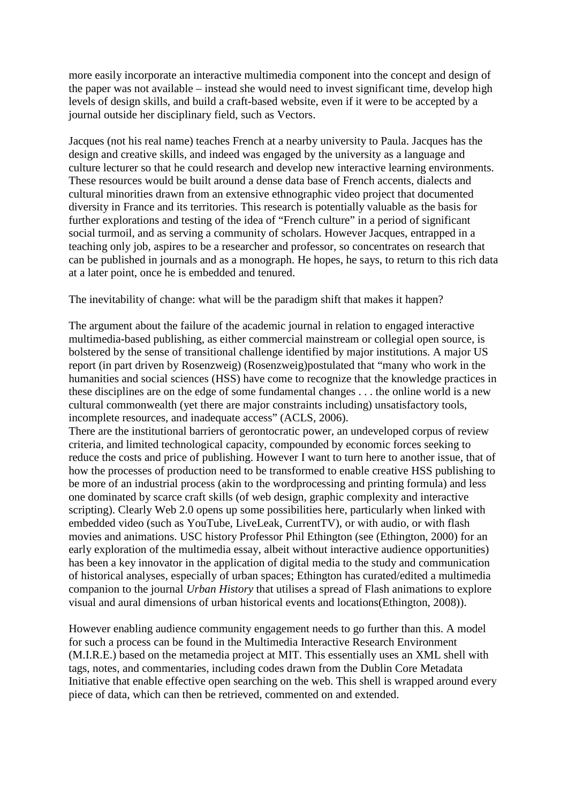more easily incorporate an interactive multimedia component into the concept and design of the paper was not available – instead she would need to invest significant time, develop high levels of design skills, and build a craft-based website, even if it were to be accepted by a journal outside her disciplinary field, such as Vectors.

Jacques (not his real name) teaches French at a nearby university to Paula. Jacques has the design and creative skills, and indeed was engaged by the university as a language and culture lecturer so that he could research and develop new interactive learning environments. These resources would be built around a dense data base of French accents, dialects and cultural minorities drawn from an extensive ethnographic video project that documented diversity in France and its territories. This research is potentially valuable as the basis for further explorations and testing of the idea of "French culture" in a period of significant social turmoil, and as serving a community of scholars. However Jacques, entrapped in a teaching only job, aspires to be a researcher and professor, so concentrates on research that can be published in journals and as a monograph. He hopes, he says, to return to this rich data at a later point, once he is embedded and tenured.

The inevitability of change: what will be the paradigm shift that makes it happen?

The argument about the failure of the academic journal in relation to engaged interactive multimedia-based publishing, as either commercial mainstream or collegial open source, is bolstered by the sense of transitional challenge identified by major institutions. A major US report (in part driven by Rosenzweig) (Rosenzweig)postulated that "many who work in the humanities and social sciences (HSS) have come to recognize that the knowledge practices in these disciplines are on the edge of some fundamental changes . . . the online world is a new cultural commonwealth (yet there are major constraints including) unsatisfactory tools, incomplete resources, and inadequate access" (ACLS, 2006).

There are the institutional barriers of gerontocratic power, an undeveloped corpus of review criteria, and limited technological capacity, compounded by economic forces seeking to reduce the costs and price of publishing. However I want to turn here to another issue, that of how the processes of production need to be transformed to enable creative HSS publishing to be more of an industrial process (akin to the wordprocessing and printing formula) and less one dominated by scarce craft skills (of web design, graphic complexity and interactive scripting). Clearly Web 2.0 opens up some possibilities here, particularly when linked with embedded video (such as YouTube, LiveLeak, CurrentTV), or with audio, or with flash movies and animations. USC history Professor Phil Ethington (see (Ethington, 2000) for an early exploration of the multimedia essay, albeit without interactive audience opportunities) has been a key innovator in the application of digital media to the study and communication of historical analyses, especially of urban spaces; Ethington has curated/edited a multimedia companion to the journal *Urban History* that utilises a spread of Flash animations to explore visual and aural dimensions of urban historical events and locations(Ethington, 2008)).

However enabling audience community engagement needs to go further than this. A model for such a process can be found in the Multimedia Interactive Research Environment (M.I.R.E.) based on the metamedia project at MIT. This essentially uses an XML shell with tags, notes, and commentaries, including codes drawn from the Dublin Core Metadata Initiative that enable effective open searching on the web. This shell is wrapped around every piece of data, which can then be retrieved, commented on and extended.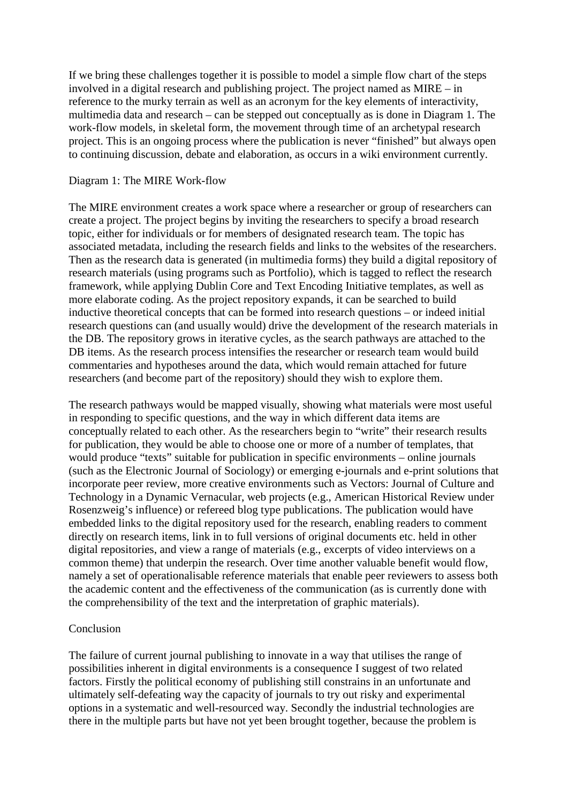If we bring these challenges together it is possible to model a simple flow chart of the steps involved in a digital research and publishing project. The project named as MIRE – in reference to the murky terrain as well as an acronym for the key elements of interactivity, multimedia data and research – can be stepped out conceptually as is done in Diagram 1. The work-flow models, in skeletal form, the movement through time of an archetypal research project. This is an ongoing process where the publication is never "finished" but always open to continuing discussion, debate and elaboration, as occurs in a wiki environment currently.

#### Diagram 1: The MIRE Work-flow

The MIRE environment creates a work space where a researcher or group of researchers can create a project. The project begins by inviting the researchers to specify a broad research topic, either for individuals or for members of designated research team. The topic has associated metadata, including the research fields and links to the websites of the researchers. Then as the research data is generated (in multimedia forms) they build a digital repository of research materials (using programs such as Portfolio), which is tagged to reflect the research framework, while applying Dublin Core and Text Encoding Initiative templates, as well as more elaborate coding. As the project repository expands, it can be searched to build inductive theoretical concepts that can be formed into research questions – or indeed initial research questions can (and usually would) drive the development of the research materials in the DB. The repository grows in iterative cycles, as the search pathways are attached to the DB items. As the research process intensifies the researcher or research team would build commentaries and hypotheses around the data, which would remain attached for future researchers (and become part of the repository) should they wish to explore them.

The research pathways would be mapped visually, showing what materials were most useful in responding to specific questions, and the way in which different data items are conceptually related to each other. As the researchers begin to "write" their research results for publication, they would be able to choose one or more of a number of templates, that would produce "texts" suitable for publication in specific environments – online journals (such as the Electronic Journal of Sociology) or emerging e-journals and e-print solutions that incorporate peer review, more creative environments such as Vectors: Journal of Culture and Technology in a Dynamic Vernacular, web projects (e.g., American Historical Review under Rosenzweig's influence) or refereed blog type publications. The publication would have embedded links to the digital repository used for the research, enabling readers to comment directly on research items, link in to full versions of original documents etc. held in other digital repositories, and view a range of materials (e.g., excerpts of video interviews on a common theme) that underpin the research. Over time another valuable benefit would flow, namely a set of operationalisable reference materials that enable peer reviewers to assess both the academic content and the effectiveness of the communication (as is currently done with the comprehensibility of the text and the interpretation of graphic materials).

## Conclusion

The failure of current journal publishing to innovate in a way that utilises the range of possibilities inherent in digital environments is a consequence I suggest of two related factors. Firstly the political economy of publishing still constrains in an unfortunate and ultimately self-defeating way the capacity of journals to try out risky and experimental options in a systematic and well-resourced way. Secondly the industrial technologies are there in the multiple parts but have not yet been brought together, because the problem is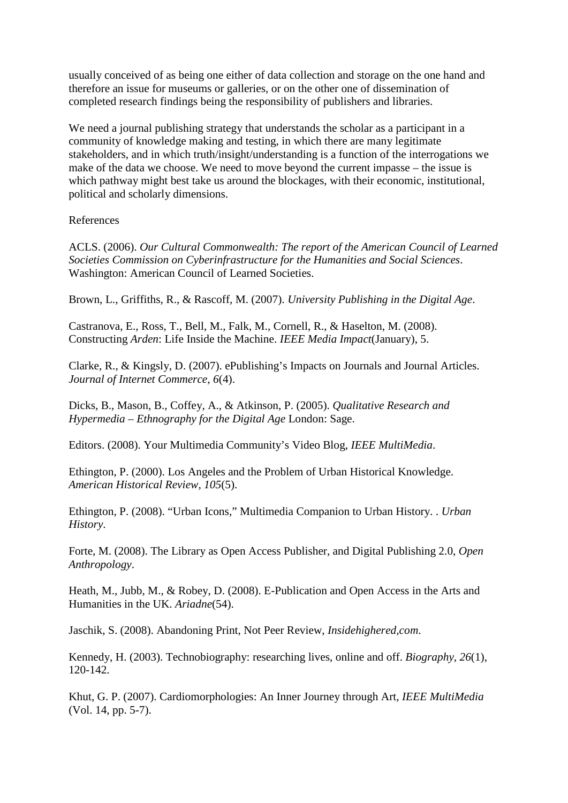usually conceived of as being one either of data collection and storage on the one hand and therefore an issue for museums or galleries, or on the other one of dissemination of completed research findings being the responsibility of publishers and libraries.

We need a journal publishing strategy that understands the scholar as a participant in a community of knowledge making and testing, in which there are many legitimate stakeholders, and in which truth/insight/understanding is a function of the interrogations we make of the data we choose. We need to move beyond the current impasse – the issue is which pathway might best take us around the blockages, with their economic, institutional, political and scholarly dimensions.

References

ACLS. (2006). *Our Cultural Commonwealth: The report of the American Council of Learned Societies Commission on Cyberinfrastructure for the Humanities and Social Sciences*. Washington: American Council of Learned Societies.

Brown, L., Griffiths, R., & Rascoff, M. (2007). *University Publishing in the Digital Age*.

Castranova, E., Ross, T., Bell, M., Falk, M., Cornell, R., & Haselton, M. (2008). Constructing *Arden*: Life Inside the Machine. *IEEE Media Impact*(January), 5.

Clarke, R., & Kingsly, D. (2007). ePublishing's Impacts on Journals and Journal Articles. *Journal of Internet Commerce, 6*(4).

Dicks, B., Mason, B., Coffey, A., & Atkinson, P. (2005). *Qualitative Research and Hypermedia – Ethnography for the Digital Age* London: Sage.

Editors. (2008). Your Multimedia Community's Video Blog, *IEEE MultiMedia*.

Ethington, P. (2000). Los Angeles and the Problem of Urban Historical Knowledge. *American Historical Review, 105*(5).

Ethington, P. (2008). "Urban Icons," Multimedia Companion to Urban History. . *Urban History*.

Forte, M. (2008). The Library as Open Access Publisher, and Digital Publishing 2.0, *Open Anthropology*.

Heath, M., Jubb, M., & Robey, D. (2008). E-Publication and Open Access in the Arts and Humanities in the UK. *Ariadne*(54).

Jaschik, S. (2008). Abandoning Print, Not Peer Review, *Insidehighered,com*.

Kennedy, H. (2003). Technobiography: researching lives, online and off. *Biography, 26*(1), 120-142.

Khut, G. P. (2007). Cardiomorphologies: An Inner Journey through Art, *IEEE MultiMedia* (Vol. 14, pp. 5-7).